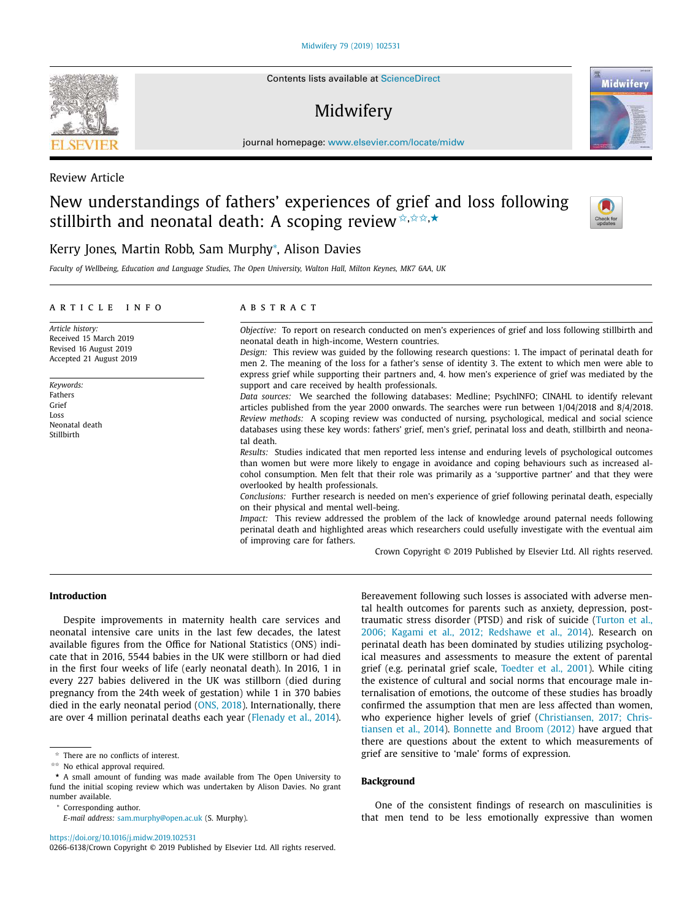#### [Midwifery](https://doi.org/10.1016/j.midw.2019.102531) 79 (2019) 102531

Contents lists available at [ScienceDirect](http://www.ScienceDirect.com)

# Midwifery

journal homepage: [www.elsevier.com/locate/midw](http://www.elsevier.com/locate/midw)

Review Article

# New understandings of fathers' experiences of grief and loss following stillbirth and neonatal death: A scoping review **\*,** \*\*\*



Faculty of Wellbeing, Education and Language Studies, The Open University, Walton Hall, Milton Keynes, MK7 6AA, UK

#### a r t i c l e i n f o

*Article history:* Received 15 March 2019 Revised 16 August 2019 Accepted 21 August 2019

*Keywords:* Fathers Grief Loss Neonatal death Stillbirth

# A B S T R A C T

*Objective:* To report on research conducted on men's experiences of grief and loss following stillbirth and neonatal death in high-income, Western countries.

*Design:* This review was guided by the following research questions: 1. The impact of perinatal death for men 2. The meaning of the loss for a father's sense of identity 3. The extent to which men were able to express grief while supporting their partners and, 4. how men's experience of grief was mediated by the support and care received by health professionals.

*Data sources:* We searched the following databases: Medline; PsychINFO; CINAHL to identify relevant articles published from the year 2000 onwards. The searches were run between 1/04/2018 and 8/4/2018. *Review methods:* A scoping review was conducted of nursing, psychological, medical and social science databases using these key words: fathers' grief, men's grief, perinatal loss and death, stillbirth and neonatal death.

*Results:* Studies indicated that men reported less intense and enduring levels of psychological outcomes than women but were more likely to engage in avoidance and coping behaviours such as increased alcohol consumption. Men felt that their role was primarily as a 'supportive partner' and that they were overlooked by health professionals.

*Conclusions:* Further research is needed on men's experience of grief following perinatal death, especially on their physical and mental well-being.

*Impact:* This review addressed the problem of the lack of knowledge around paternal needs following perinatal death and highlighted areas which researchers could usefully investigate with the eventual aim of improving care for fathers.

Crown Copyright © 2019 Published by Elsevier Ltd. All rights reserved.

# **Introduction**

Despite improvements in maternity health care services and neonatal intensive care units in the last few decades, the latest available figures from the Office for National Statistics (ONS) indicate that in 2016, 5544 babies in the UK were stillborn or had died in the first four weeks of life (early neonatal death). In 2016, 1 in every 227 babies delivered in the UK was stillborn (died during pregnancy from the 24th week of gestation) while 1 in 370 babies died in the early neonatal period (ONS, [2018\)](#page-14-0). Internationally, there are over 4 million perinatal deaths each year [\(Flenady](#page-14-0) et al., 2014).

Corresponding author.

<https://doi.org/10.1016/j.midw.2019.102531> 0266-6138/Crown Copyright © 2019 Published by Elsevier Ltd. All rights reserved. Bereavement following such losses is associated with adverse mental health outcomes for parents such as anxiety, depression, posttraumatic stress disorder (PTSD) and risk of suicide (Turton et al., 2006; Kagami et al., 2012; [Redshawe](#page-14-0) et al., 2014). Research on perinatal death has been dominated by studies utilizing psychological measures and assessments to measure the extent of parental grief (e.g. perinatal grief scale, [Toedter](#page-14-0) et al., 2001). While citing the existence of cultural and social norms that encourage male internalisation of emotions, the outcome of these studies has broadly confirmed the assumption that men are less affected than women, who experience higher levels of grief [\(Christiansen,](#page-14-0) 2017; Christiansen et al., 2014). [Bonnette](#page-14-0) and Broom (2012) have argued that there are questions about the extent to which measurements of grief are sensitive to 'male' forms of expression.

#### **Background**

One of the consistent findings of research on masculinities is that men tend to be less emotionally expressive than women





<sup>✩</sup> There are no conflicts of interest.

<sup>✩✩</sup> No ethical approval required.

<sup>★</sup> A small amount of funding was made available from The Open University to fund the initial scoping review which was undertaken by Alison Davies. No grant number available.

*E-mail address:* [sam.murphy@open.ac.uk](mailto:sam.murphy@open.ac.uk) (S. Murphy).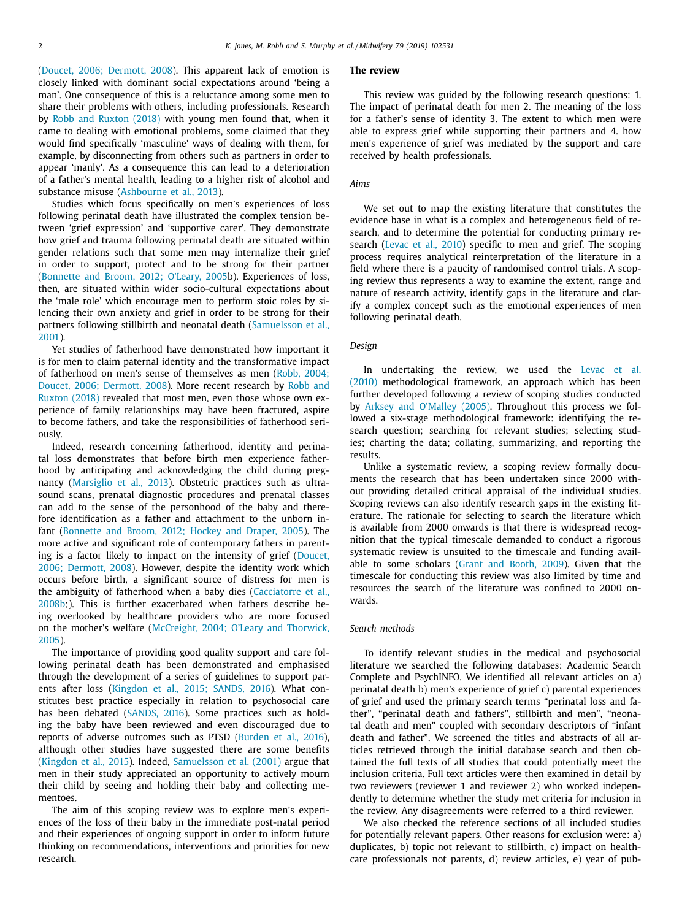(Doucet, 2006; [Dermott,](#page-14-0) 2008). This apparent lack of emotion is closely linked with dominant social expectations around 'being a man'. One consequence of this is a reluctance among some men to share their problems with others, including professionals. Research by Robb and [Ruxton](#page-14-0) (2018) with young men found that, when it came to dealing with emotional problems, some claimed that they would find specifically 'masculine' ways of dealing with them, for example, by disconnecting from others such as partners in order to appear 'manly'. As a consequence this can lead to a deterioration of a father's mental health, leading to a higher risk of alcohol and substance misuse [\(Ashbourne](#page-14-0) et al., 2013).

Studies which focus specifically on men's experiences of loss following perinatal death have illustrated the complex tension between 'grief expression' and 'supportive carer'. They demonstrate how grief and trauma following perinatal death are situated within gender relations such that some men may internalize their grief in order to support, protect and to be strong for their partner [\(Bonnette](#page-14-0) and Broom, 2012; O'Leary, 2005b). Experiences of loss, then, are situated within wider socio-cultural expectations about the 'male role' which encourage men to perform stoic roles by silencing their own anxiety and grief in order to be strong for their partners following stillbirth and neonatal death [\(Samuelsson](#page-14-0) et al., 2001).

Yet studies of fatherhood have demonstrated how important it is for men to claim paternal identity and the transformative impact of fatherhood on men's sense of [themselves](#page-14-0) as men (Robb, 2004; Doucet, 2006; [Dermott,](#page-14-0) 2008). More recent research by Robb and Ruxton (2018) revealed that most men, even those whose own experience of family relationships may have been fractured, aspire to become fathers, and take the responsibilities of fatherhood seriously.

Indeed, research concerning fatherhood, identity and perinatal loss demonstrates that before birth men experience fatherhood by anticipating and acknowledging the child during pregnancy [\(Marsiglio](#page-14-0) et al., 2013). Obstetric practices such as ultrasound scans, prenatal diagnostic procedures and prenatal classes can add to the sense of the personhood of the baby and therefore identification as a father and attachment to the unborn infant [\(Bonnette](#page-14-0) and Broom, 2012; Hockey and Draper, 2005). The more active and significant role of contemporary fathers in parenting is a factor likely to impact on the intensity of grief (Doucet, 2006; Dermott, 2008). [However,](#page-14-0) despite the identity work which occurs before birth, a significant source of distress for men is the ambiguity of fatherhood when a baby dies (Cacciatorre et al., 2008b;). This is further [exacerbated](#page-14-0) when fathers describe being overlooked by healthcare providers who are more focused on the mother's welfare [\(McCreight,](#page-14-0) 2004; O'Leary and Thorwick, 2005).

The importance of providing good quality support and care following perinatal death has been demonstrated and emphasised through the development of a series of guidelines to support parents after loss [\(Kingdon](#page-14-0) et al., 2015; SANDS, 2016). What constitutes best practice especially in relation to psychosocial care has been debated [\(SANDS,](#page-14-0) 2016). Some practices such as holding the baby have been reviewed and even discouraged due to reports of adverse outcomes such as PTSD [\(Burden](#page-14-0) et al., 2016), although other studies have suggested there are some benefits [\(Kingdon](#page-14-0) et al., 2015). Indeed, [Samuelsson](#page-14-0) et al. (2001) argue that men in their study appreciated an opportunity to actively mourn their child by seeing and holding their baby and collecting mementoes.

The aim of this scoping review was to explore men's experiences of the loss of their baby in the immediate post-natal period and their experiences of ongoing support in order to inform future thinking on recommendations, interventions and priorities for new research.

#### **The review**

This review was guided by the following research questions: 1. The impact of perinatal death for men 2. The meaning of the loss for a father's sense of identity 3. The extent to which men were able to express grief while supporting their partners and 4. how men's experience of grief was mediated by the support and care received by health professionals.

# *Aims*

We set out to map the existing literature that constitutes the evidence base in what is a complex and heterogeneous field of research, and to determine the potential for conducting primary research [\(Levac](#page-14-0) et al., 2010) specific to men and grief. The scoping process requires analytical reinterpretation of the literature in a field where there is a paucity of randomised control trials. A scoping review thus represents a way to examine the extent, range and nature of research activity, identify gaps in the literature and clarify a complex concept such as the emotional experiences of men following perinatal death.

#### *Design*

In undertaking the review, we used the Levac et al. (2010) [methodological](#page-14-0) framework, an approach which has been further developed following a review of scoping studies conducted by Arksey and [O'Malley](#page-14-0) (2005). Throughout this process we followed a six-stage methodological framework: identifying the research question; searching for relevant studies; selecting studies; charting the data; collating, summarizing, and reporting the results.

Unlike a systematic review, a scoping review formally documents the research that has been undertaken since 2000 without providing detailed critical appraisal of the individual studies. Scoping reviews can also identify research gaps in the existing literature. The rationale for selecting to search the literature which is available from 2000 onwards is that there is widespread recognition that the typical timescale demanded to conduct a rigorous systematic review is unsuited to the timescale and funding available to some scholars (Grant and [Booth,](#page-14-0) 2009). Given that the timescale for conducting this review was also limited by time and resources the search of the literature was confined to 2000 onwards.

#### *Search methods*

To identify relevant studies in the medical and psychosocial literature we searched the following databases: Academic Search Complete and PsychINFO. We identified all relevant articles on a) perinatal death b) men's experience of grief c) parental experiences of grief and used the primary search terms "perinatal loss and father", "perinatal death and fathers", stillbirth and men", "neonatal death and men" coupled with secondary descriptors of "infant death and father". We screened the titles and abstracts of all articles retrieved through the initial database search and then obtained the full texts of all studies that could potentially meet the inclusion criteria. Full text articles were then examined in detail by two reviewers (reviewer 1 and reviewer 2) who worked independently to determine whether the study met criteria for inclusion in the review. Any disagreements were referred to a third reviewer.

We also checked the reference sections of all included studies for potentially relevant papers. Other reasons for exclusion were: a) duplicates, b) topic not relevant to stillbirth, c) impact on healthcare professionals not parents, d) review articles, e) year of pub-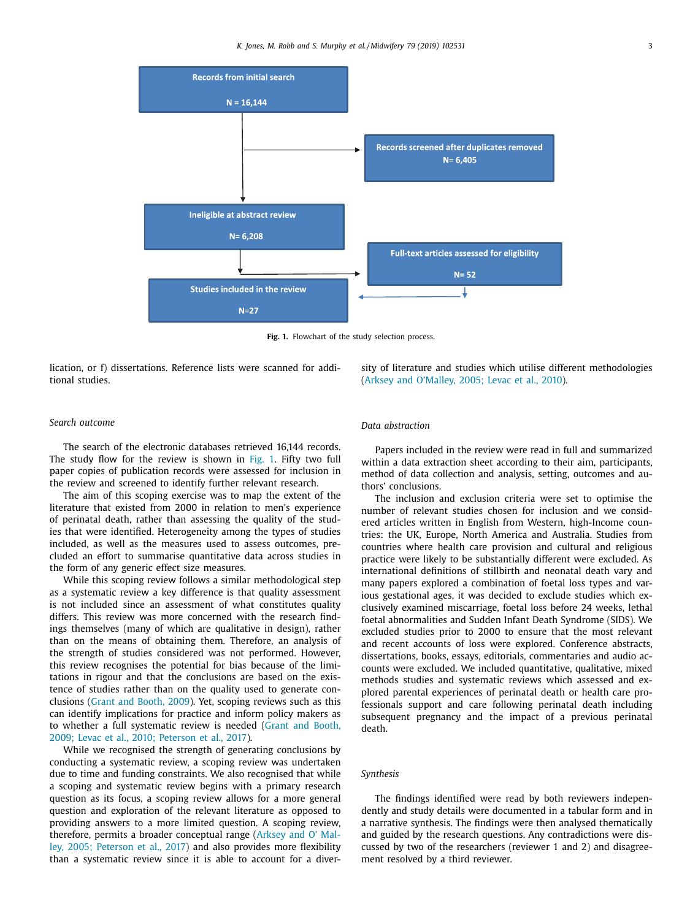

**Fig. 1.** Flowchart of the study selection process.

lication, or f) dissertations. Reference lists were scanned for additional studies.

sity of literature and studies which utilise different methodologies (Arksey and [O'Malley,](#page-14-0) 2005; Levac et al., 2010).

# *Search outcome*

The search of the electronic databases retrieved 16,144 records. The study flow for the review is shown in Fig. 1. Fifty two full paper copies of publication records were assessed for inclusion in the review and screened to identify further relevant research.

The aim of this scoping exercise was to map the extent of the literature that existed from 2000 in relation to men's experience of perinatal death, rather than assessing the quality of the studies that were identified. Heterogeneity among the types of studies included, as well as the measures used to assess outcomes, precluded an effort to summarise quantitative data across studies in the form of any generic effect size measures.

While this scoping review follows a similar methodological step as a systematic review a key difference is that quality assessment is not included since an assessment of what constitutes quality differs. This review was more concerned with the research findings themselves (many of which are qualitative in design), rather than on the means of obtaining them. Therefore, an analysis of the strength of studies considered was not performed. However, this review recognises the potential for bias because of the limitations in rigour and that the conclusions are based on the existence of studies rather than on the quality used to generate conclusions (Grant and [Booth,](#page-14-0) 2009). Yet, scoping reviews such as this can identify implications for practice and inform policy makers as to whether a full [systematic](#page-14-0) review is needed (Grant and Booth, 2009; Levac et al., 2010; Peterson et al., 2017).

While we recognised the strength of generating conclusions by conducting a systematic review, a scoping review was undertaken due to time and funding constraints. We also recognised that while a scoping and systematic review begins with a primary research question as its focus, a scoping review allows for a more general question and exploration of the relevant literature as opposed to providing answers to a more limited question. A scoping review, therefore, permits a broader [conceptual](#page-14-0) range (Arksey and O' Malley, 2005; Peterson et al., 2017) and also provides more flexibility than a systematic review since it is able to account for a diver-

### *Data abstraction*

Papers included in the review were read in full and summarized within a data extraction sheet according to their aim, participants, method of data collection and analysis, setting, outcomes and authors' conclusions.

The inclusion and exclusion criteria were set to optimise the number of relevant studies chosen for inclusion and we considered articles written in English from Western, high-Income countries: the UK, Europe, North America and Australia. Studies from countries where health care provision and cultural and religious practice were likely to be substantially different were excluded. As international definitions of stillbirth and neonatal death vary and many papers explored a combination of foetal loss types and various gestational ages, it was decided to exclude studies which exclusively examined miscarriage, foetal loss before 24 weeks, lethal foetal abnormalities and Sudden Infant Death Syndrome (SIDS). We excluded studies prior to 2000 to ensure that the most relevant and recent accounts of loss were explored. Conference abstracts, dissertations, books, essays, editorials, commentaries and audio accounts were excluded. We included quantitative, qualitative, mixed methods studies and systematic reviews which assessed and explored parental experiences of perinatal death or health care professionals support and care following perinatal death including subsequent pregnancy and the impact of a previous perinatal death.

### *Synthesis*

The findings identified were read by both reviewers independently and study details were documented in a tabular form and in a narrative synthesis. The findings were then analysed thematically and guided by the research questions. Any contradictions were discussed by two of the researchers (reviewer 1 and 2) and disagreement resolved by a third reviewer.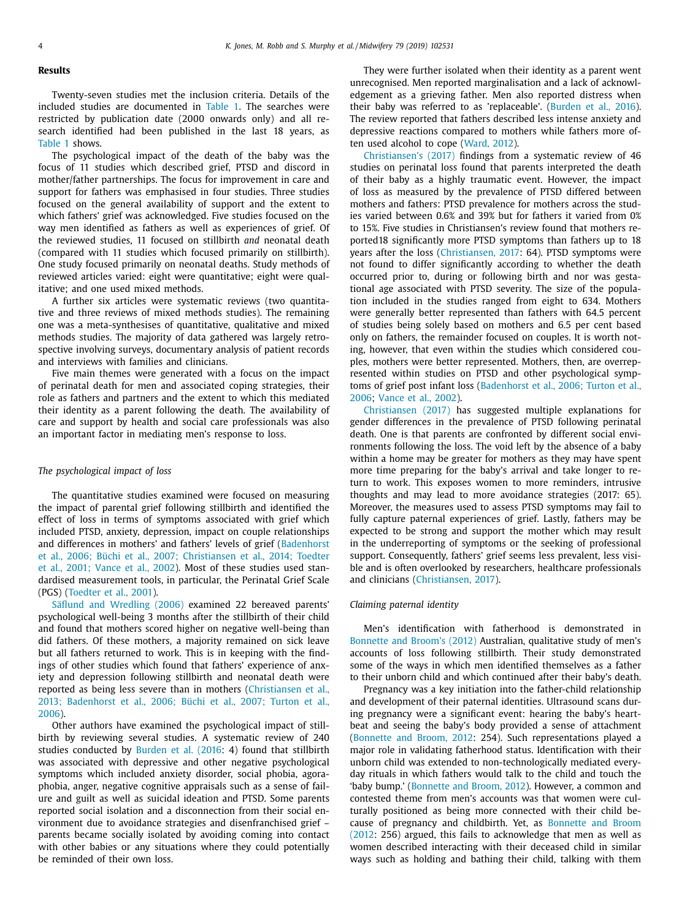# **Results**

Twenty-seven studies met the inclusion criteria. Details of the included studies are documented in [Table](#page-4-0) 1. The searches were restricted by publication date (2000 onwards only) and all research identified had been published in the last 18 years, as [Table](#page-4-0) 1 shows.

The psychological impact of the death of the baby was the focus of 11 studies which described grief, PTSD and discord in mother/father partnerships. The focus for improvement in care and support for fathers was emphasised in four studies. Three studies focused on the general availability of support and the extent to which fathers' grief was acknowledged. Five studies focused on the way men identified as fathers as well as experiences of grief. Of the reviewed studies, 11 focused on stillbirth *and* neonatal death (compared with 11 studies which focused primarily on stillbirth). One study focused primarily on neonatal deaths. Study methods of reviewed articles varied: eight were quantitative; eight were qualitative; and one used mixed methods.

A further six articles were systematic reviews (two quantitative and three reviews of mixed methods studies). The remaining one was a meta-synthesises of quantitative, qualitative and mixed methods studies. The majority of data gathered was largely retrospective involving surveys, documentary analysis of patient records and interviews with families and clinicians.

Five main themes were generated with a focus on the impact of perinatal death for men and associated coping strategies, their role as fathers and partners and the extent to which this mediated their identity as a parent following the death. The availability of care and support by health and social care professionals was also an important factor in mediating men's response to loss.

#### *The psychological impact of loss*

The quantitative studies examined were focused on measuring the impact of parental grief following stillbirth and identified the effect of loss in terms of symptoms associated with grief which included PTSD, anxiety, depression, impact on couple relationships and differences in mothers' and fathers' levels of grief (Badenhorst et al., 2006; Büchi et al., 2007; [Christiansen](#page-14-0) et al., 2014; Toedter et al., 2001; Vance et al., 2002). Most of these studies used standardised measurement tools, in particular, the Perinatal Grief Scale (PGS) [\(Toedter](#page-14-0) et al., 2001).

Säflund and [Wredling](#page-14-0) (2006) examined 22 bereaved parents' psychological well-being 3 months after the stillbirth of their child and found that mothers scored higher on negative well-being than did fathers. Of these mothers, a majority remained on sick leave but all fathers returned to work. This is in keeping with the findings of other studies which found that fathers' experience of anxiety and depression following stillbirth and neonatal death were reported as being less severe than in mothers [\(Christiansen](#page-14-0) et al., 2013; Badenhorst et al., 2006; Büchi et al., 2007; Turton et al., 2006).

Other authors have examined the psychological impact of stillbirth by reviewing several studies. A systematic review of 240 studies conducted by [Burden](#page-14-0) et al. (2016: 4) found that stillbirth was associated with depressive and other negative psychological symptoms which included anxiety disorder, social phobia, agoraphobia, anger, negative cognitive appraisals such as a sense of failure and guilt as well as suicidal ideation and PTSD. Some parents reported social isolation and a disconnection from their social environment due to avoidance strategies and disenfranchised grief – parents became socially isolated by avoiding coming into contact with other babies or any situations where they could potentially be reminded of their own loss.

They were further isolated when their identity as a parent went unrecognised. Men reported marginalisation and a lack of acknowledgement as a grieving father. Men also reported distress when their baby was referred to as 'replaceable'. [\(Burden](#page-14-0) et al., 2016). The review reported that fathers described less intense anxiety and depressive reactions compared to mothers while fathers more often used alcohol to cope [\(Ward,](#page-14-0) 2012).

[Christiansen's](#page-14-0) (2017) findings from a systematic review of 46 studies on perinatal loss found that parents interpreted the death of their baby as a highly traumatic event. However, the impact of loss as measured by the prevalence of PTSD differed between mothers and fathers: PTSD prevalence for mothers across the studies varied between 0.6% and 39% but for fathers it varied from 0% to 15%. Five studies in Christiansen's review found that mothers reported18 significantly more PTSD symptoms than fathers up to 18 years after the loss [\(Christiansen,](#page-14-0) 2017: 64). PTSD symptoms were not found to differ significantly according to whether the death occurred prior to, during or following birth and nor was gestational age associated with PTSD severity. The size of the population included in the studies ranged from eight to 634. Mothers were generally better represented than fathers with 64.5 percent of studies being solely based on mothers and 6.5 per cent based only on fathers, the remainder focused on couples. It is worth noting, however, that even within the studies which considered couples, mothers were better represented. Mothers, then, are overrepresented within studies on PTSD and other psychological symptoms of grief post infant loss [\(Badenhorst](#page-14-0) et al., 2006; Turton et al., 2006; [Vance](#page-14-0) et al., 2002).

[Christiansen](#page-14-0) (2017) has suggested multiple explanations for gender differences in the prevalence of PTSD following perinatal death. One is that parents are confronted by different social environments following the loss. The void left by the absence of a baby within a home may be greater for mothers as they may have spent more time preparing for the baby's arrival and take longer to return to work. This exposes women to more reminders, intrusive thoughts and may lead to more avoidance strategies (2017: 65). Moreover, the measures used to assess PTSD symptoms may fail to fully capture paternal experiences of grief. Lastly, fathers may be expected to be strong and support the mother which may result in the underreporting of symptoms or the seeking of professional support. Consequently, fathers' grief seems less prevalent, less visible and is often overlooked by researchers, healthcare professionals and clinicians [\(Christiansen,](#page-14-0) 2017).

#### *Claiming paternal identity*

Men's identification with fatherhood is demonstrated in [Bonnette](#page-14-0) and Broom's (2012) Australian, qualitative study of men's accounts of loss following stillbirth. Their study demonstrated some of the ways in which men identified themselves as a father to their unborn child and which continued after their baby's death.

Pregnancy was a key initiation into the father-child relationship and development of their paternal identities. Ultrasound scans during pregnancy were a significant event: hearing the baby's heartbeat and seeing the baby's body provided a sense of attachment [\(Bonnette](#page-14-0) and Broom, 2012: 254). Such representations played a major role in validating fatherhood status. Identification with their unborn child was extended to non-technologically mediated everyday rituals in which fathers would talk to the child and touch the 'baby bump.' [\(Bonnette](#page-14-0) and Broom, 2012). However, a common and contested theme from men's accounts was that women were culturally positioned as being more connected with their child because of pregnancy and childbirth. Yet, as Bonnette and Broom (2012: 256) argued, this fails to [acknowledge](#page-14-0) that men as well as women described interacting with their deceased child in similar ways such as holding and bathing their child, talking with them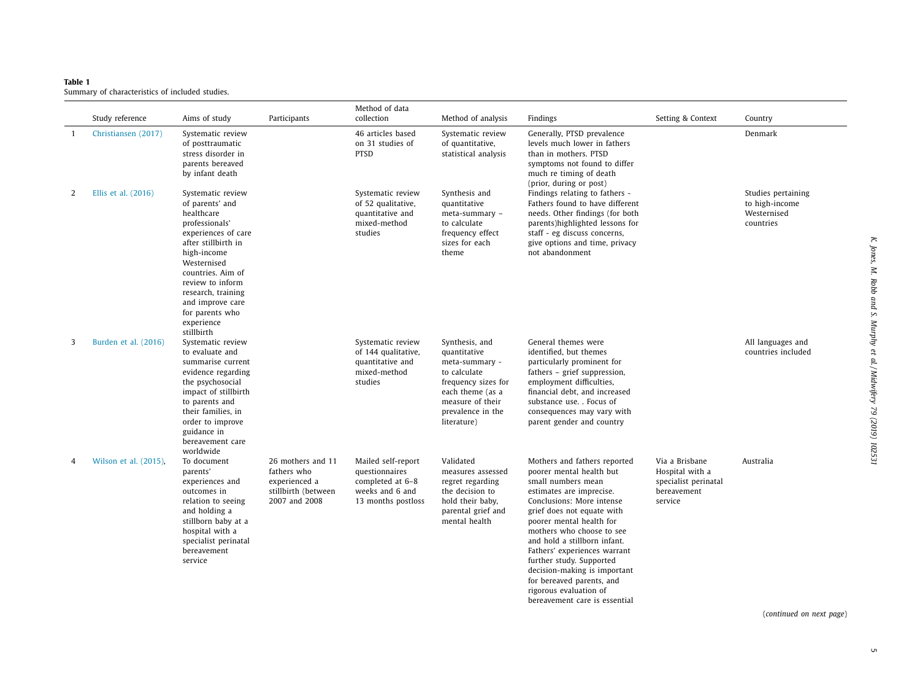<span id="page-4-0"></span>

| Table 1                                         |  |
|-------------------------------------------------|--|
| Summary of characteristics of included studies. |  |

|    | Study reference       | Aims of study                                                                                                                                                                                                                                                                      | Participants                                                                              | Method of data<br>collection                                                                      | Method of analysis                                                                                                                                                  | Findings                                                                                                                                                                                                                                                                                                                                                                                                                                           | Setting & Context                                                                   | Country                                                          |
|----|-----------------------|------------------------------------------------------------------------------------------------------------------------------------------------------------------------------------------------------------------------------------------------------------------------------------|-------------------------------------------------------------------------------------------|---------------------------------------------------------------------------------------------------|---------------------------------------------------------------------------------------------------------------------------------------------------------------------|----------------------------------------------------------------------------------------------------------------------------------------------------------------------------------------------------------------------------------------------------------------------------------------------------------------------------------------------------------------------------------------------------------------------------------------------------|-------------------------------------------------------------------------------------|------------------------------------------------------------------|
| -1 | Christiansen (2017)   | Systematic review<br>of posttraumatic<br>stress disorder in<br>parents bereaved<br>by infant death                                                                                                                                                                                 |                                                                                           | 46 articles based<br>on 31 studies of<br><b>PTSD</b>                                              | Systematic review<br>of quantitative,<br>statistical analysis                                                                                                       | Generally, PTSD prevalence<br>levels much lower in fathers<br>than in mothers. PTSD<br>symptoms not found to differ<br>much re timing of death<br>(prior, during or post)                                                                                                                                                                                                                                                                          |                                                                                     | Denmark                                                          |
| 2  | Ellis et al. (2016)   | Systematic review<br>of parents' and<br>healthcare<br>professionals'<br>experiences of care<br>after stillbirth in<br>high-income<br>Westernised<br>countries. Aim of<br>review to inform<br>research, training<br>and improve care<br>for parents who<br>experience<br>stillbirth |                                                                                           | Systematic review<br>of 52 qualitative,<br>quantitative and<br>mixed-method<br>studies            | Synthesis and<br>quantitative<br>meta-summary -<br>to calculate<br>frequency effect<br>sizes for each<br>theme                                                      | Findings relating to fathers -<br>Fathers found to have different<br>needs. Other findings (for both<br>parents)highlighted lessons for<br>staff - eg discuss concerns,<br>give options and time, privacy<br>not abandonment                                                                                                                                                                                                                       |                                                                                     | Studies pertaining<br>to high-income<br>Westernised<br>countries |
| 3  | Burden et al. (2016)  | Systematic review<br>to evaluate and<br>summarise current<br>evidence regarding<br>the psychosocial<br>impact of stillbirth<br>to parents and<br>their families, in<br>order to improve<br>guidance in<br>bereavement care<br>worldwide                                            |                                                                                           | Systematic review<br>of 144 qualitative,<br>quantitative and<br>mixed-method<br>studies           | Synthesis, and<br>quantitative<br>meta-summary -<br>to calculate<br>frequency sizes for<br>each theme (as a<br>measure of their<br>prevalence in the<br>literature) | General themes were<br>identified, but themes<br>particularly prominent for<br>fathers - grief suppression,<br>employment difficulties,<br>financial debt, and increased<br>substance use. . Focus of<br>consequences may vary with<br>parent gender and country                                                                                                                                                                                   |                                                                                     | All languages and<br>countries included                          |
| 4  | Wilson et al. (2015). | To document<br>parents'<br>experiences and<br>outcomes in<br>relation to seeing<br>and holding a<br>stillborn baby at a<br>hospital with a<br>specialist perinatal<br>bereavement<br>service                                                                                       | 26 mothers and 11<br>fathers who<br>experienced a<br>stillbirth (between<br>2007 and 2008 | Mailed self-report<br>questionnaires<br>completed at 6-8<br>weeks and 6 and<br>13 months postloss | Validated<br>measures assessed<br>regret regarding<br>the decision to<br>hold their baby,<br>parental grief and<br>mental health                                    | Mothers and fathers reported<br>poorer mental health but<br>small numbers mean<br>estimates are imprecise.<br>Conclusions: More intense<br>grief does not equate with<br>poorer mental health for<br>mothers who choose to see<br>and hold a stillborn infant.<br>Fathers' experiences warrant<br>further study. Supported<br>decision-making is important<br>for bereaved parents, and<br>rigorous evaluation of<br>bereavement care is essential | Via a Brisbane<br>Hospital with a<br>specialist perinatal<br>bereavement<br>service | Australia                                                        |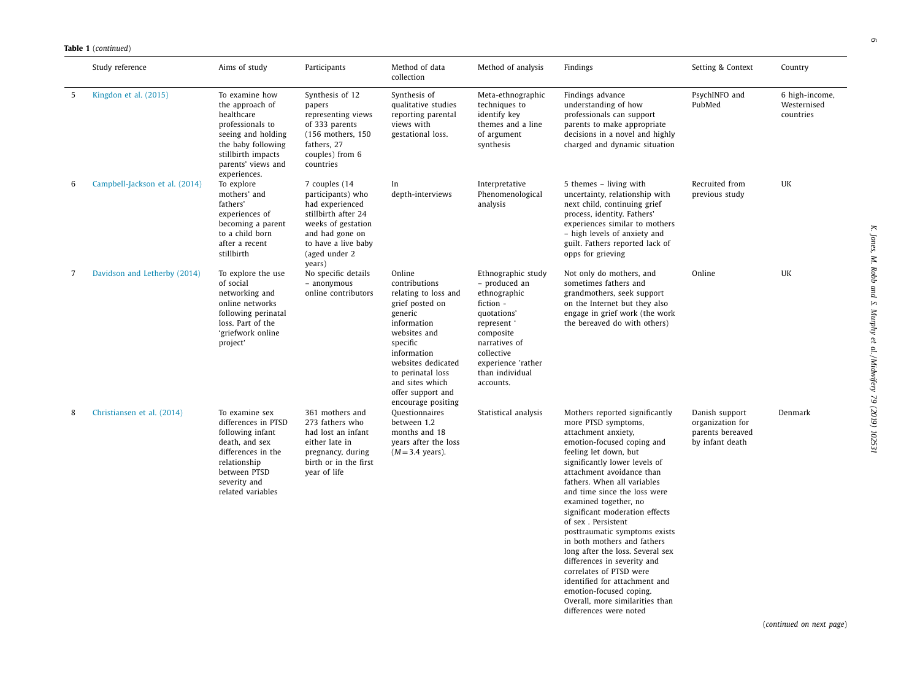|   | Study reference                | Aims of study                                                                                                                                                               | Participants                                                                                                                                                            | Method of data<br>collection                                                                                                                                                                                                                     | Method of analysis                                                                                                                                                                               | Findings                                                                                                                                                                                                                                                                                                                                                                                                                                                                                                                                                                                                                                 | Setting & Context                                                         | Country                                    |
|---|--------------------------------|-----------------------------------------------------------------------------------------------------------------------------------------------------------------------------|-------------------------------------------------------------------------------------------------------------------------------------------------------------------------|--------------------------------------------------------------------------------------------------------------------------------------------------------------------------------------------------------------------------------------------------|--------------------------------------------------------------------------------------------------------------------------------------------------------------------------------------------------|------------------------------------------------------------------------------------------------------------------------------------------------------------------------------------------------------------------------------------------------------------------------------------------------------------------------------------------------------------------------------------------------------------------------------------------------------------------------------------------------------------------------------------------------------------------------------------------------------------------------------------------|---------------------------------------------------------------------------|--------------------------------------------|
| 5 | Kingdon et al. (2015)          | To examine how<br>the approach of<br>healthcare<br>professionals to<br>seeing and holding<br>the baby following<br>stillbirth impacts<br>parents' views and<br>experiences. | Synthesis of 12<br>papers<br>representing views<br>of 333 parents<br>(156 mothers, 150)<br>fathers, 27<br>couples) from 6<br>countries                                  | Synthesis of<br>qualitative studies<br>reporting parental<br>views with<br>gestational loss.                                                                                                                                                     | Meta-ethnographic<br>techniques to<br>identify key<br>themes and a line<br>of argument<br>synthesis                                                                                              | Findings advance<br>understanding of how<br>professionals can support<br>parents to make appropriate<br>decisions in a novel and highly<br>charged and dynamic situation                                                                                                                                                                                                                                                                                                                                                                                                                                                                 | PsychINFO and<br>PubMed                                                   | 6 high-income,<br>Westernised<br>countries |
| 6 | Campbell-Jackson et al. (2014) | To explore<br>mothers' and<br>fathers'<br>experiences of<br>becoming a parent<br>to a child born<br>after a recent<br>stillbirth                                            | 7 couples (14<br>participants) who<br>had experienced<br>stillbirth after 24<br>weeks of gestation<br>and had gone on<br>to have a live baby<br>(aged under 2<br>years) | In<br>depth-interviews                                                                                                                                                                                                                           | Interpretative<br>Phenomenological<br>analysis                                                                                                                                                   | 5 themes - living with<br>uncertainty, relationship with<br>next child, continuing grief<br>process, identity. Fathers'<br>experiences similar to mothers<br>- high levels of anxiety and<br>guilt. Fathers reported lack of<br>opps for grieving                                                                                                                                                                                                                                                                                                                                                                                        | Recruited from<br>previous study                                          | UK                                         |
| 7 | Davidson and Letherby (2014)   | To explore the use<br>of social<br>networking and<br>online networks<br>following perinatal<br>loss. Part of the<br>'griefwork online<br>project'                           | No specific details<br>- anonymous<br>online contributors                                                                                                               | Online<br>contributions<br>relating to loss and<br>grief posted on<br>generic<br>information<br>websites and<br>specific<br>information<br>websites dedicated<br>to perinatal loss<br>and sites which<br>offer support and<br>encourage positing | Ethnographic study<br>- produced an<br>ethnographic<br>fiction -<br>quotations'<br>represent '<br>composite<br>narratives of<br>collective<br>experience 'rather<br>than individual<br>accounts. | Not only do mothers, and<br>sometimes fathers and<br>grandmothers, seek support<br>on the Internet but they also<br>engage in grief work (the work<br>the bereaved do with others)                                                                                                                                                                                                                                                                                                                                                                                                                                                       | Online                                                                    | UK                                         |
| 8 | Christiansen et al. (2014)     | To examine sex<br>differences in PTSD<br>following infant<br>death, and sex<br>differences in the<br>relationship<br>between PTSD<br>severity and<br>related variables      | 361 mothers and<br>273 fathers who<br>had lost an infant<br>either late in<br>pregnancy, during<br>birth or in the first<br>year of life                                | Questionnaires<br>between 1.2<br>months and 18<br>years after the loss<br>$(M=3.4 \text{ years}).$                                                                                                                                               | Statistical analysis                                                                                                                                                                             | Mothers reported significantly<br>more PTSD symptoms,<br>attachment anxiety,<br>emotion-focused coping and<br>feeling let down, but<br>significantly lower levels of<br>attachment avoidance than<br>fathers. When all variables<br>and time since the loss were<br>examined together, no<br>significant moderation effects<br>of sex. Persistent<br>posttraumatic symptoms exists<br>in both mothers and fathers<br>long after the loss. Several sex<br>differences in severity and<br>correlates of PTSD were<br>identified for attachment and<br>emotion-focused coping.<br>Overall, more similarities than<br>differences were noted | Danish support<br>organization for<br>parents bereaved<br>by infant death | Denmark                                    |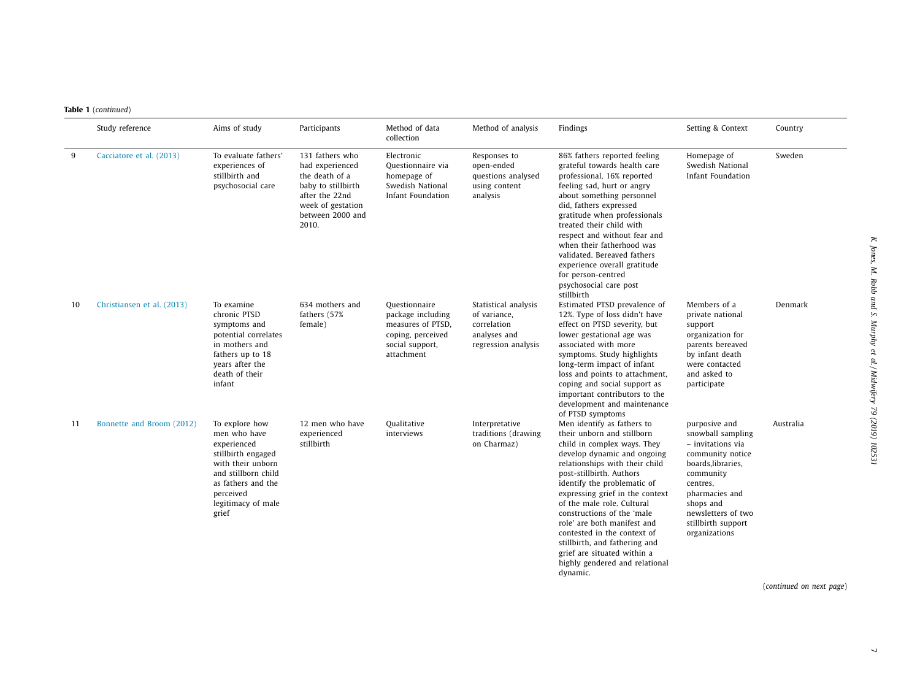|    | Study reference            | Aims of study                                                                                                                                                                     | Participants                                                                                                                                   | Method of data<br>collection                                                                                  | Method of analysis                                                                         | Findings                                                                                                                                                                                                                                                                                                                                                                                                                                                                                       | Setting & Context                                                                                                                                                                                                      | Country   |
|----|----------------------------|-----------------------------------------------------------------------------------------------------------------------------------------------------------------------------------|------------------------------------------------------------------------------------------------------------------------------------------------|---------------------------------------------------------------------------------------------------------------|--------------------------------------------------------------------------------------------|------------------------------------------------------------------------------------------------------------------------------------------------------------------------------------------------------------------------------------------------------------------------------------------------------------------------------------------------------------------------------------------------------------------------------------------------------------------------------------------------|------------------------------------------------------------------------------------------------------------------------------------------------------------------------------------------------------------------------|-----------|
| 9  | Cacciatore et al. (2013)   | To evaluate fathers'<br>experiences of<br>stillbirth and<br>psychosocial care                                                                                                     | 131 fathers who<br>had experienced<br>the death of a<br>baby to stillbirth<br>after the 22nd<br>week of gestation<br>between 2000 and<br>2010. | Electronic<br>Questionnaire via<br>homepage of<br>Swedish National<br>Infant Foundation                       | Responses to<br>open-ended<br>questions analysed<br>using content<br>analysis              | 86% fathers reported feeling<br>grateful towards health care<br>professional, 16% reported<br>feeling sad, hurt or angry<br>about something personnel<br>did, fathers expressed<br>gratitude when professionals<br>treated their child with<br>respect and without fear and<br>when their fatherhood was<br>validated. Bereaved fathers<br>experience overall gratitude<br>for person-centred<br>psychosocial care post<br>stillbirth                                                          | Homepage of<br>Swedish National<br>Infant Foundation                                                                                                                                                                   | Sweden    |
| 10 | Christiansen et al. (2013) | To examine<br>chronic PTSD<br>symptoms and<br>potential correlates<br>in mothers and<br>fathers up to 18<br>years after the<br>death of their<br>infant                           | 634 mothers and<br>fathers (57%<br>female)                                                                                                     | Questionnaire<br>package including<br>measures of PTSD,<br>coping, perceived<br>social support,<br>attachment | Statistical analysis<br>of variance,<br>correlation<br>analyses and<br>regression analysis | Estimated PTSD prevalence of<br>12%. Type of loss didn't have<br>effect on PTSD severity, but<br>lower gestational age was<br>associated with more<br>symptoms. Study highlights<br>long-term impact of infant<br>loss and points to attachment,<br>coping and social support as<br>important contributors to the<br>development and maintenance<br>of PTSD symptoms                                                                                                                           | Members of a<br>private national<br>support<br>organization for<br>parents bereaved<br>by infant death<br>were contacted<br>and asked to<br>participate                                                                | Denmark   |
| 11 | Bonnette and Broom (2012)  | To explore how<br>men who have<br>experienced<br>stillbirth engaged<br>with their unborn<br>and stillborn child<br>as fathers and the<br>perceived<br>legitimacy of male<br>grief | 12 men who have<br>experienced<br>stillbirth                                                                                                   | <b>Qualitative</b><br>interviews                                                                              | Interpretative<br>traditions (drawing<br>on Charmaz)                                       | Men identify as fathers to<br>their unborn and stillborn<br>child in complex ways. They<br>develop dynamic and ongoing<br>relationships with their child<br>post-stillbirth. Authors<br>identify the problematic of<br>expressing grief in the context<br>of the male role. Cultural<br>constructions of the 'male<br>role' are both manifest and<br>contested in the context of<br>stillbirth, and fathering and<br>grief are situated within a<br>highly gendered and relational<br>dynamic. | purposive and<br>snowball sampling<br>- invitations via<br>community notice<br>boards, libraries,<br>community<br>centres.<br>pharmacies and<br>shops and<br>newsletters of two<br>stillbirth support<br>organizations | Australia |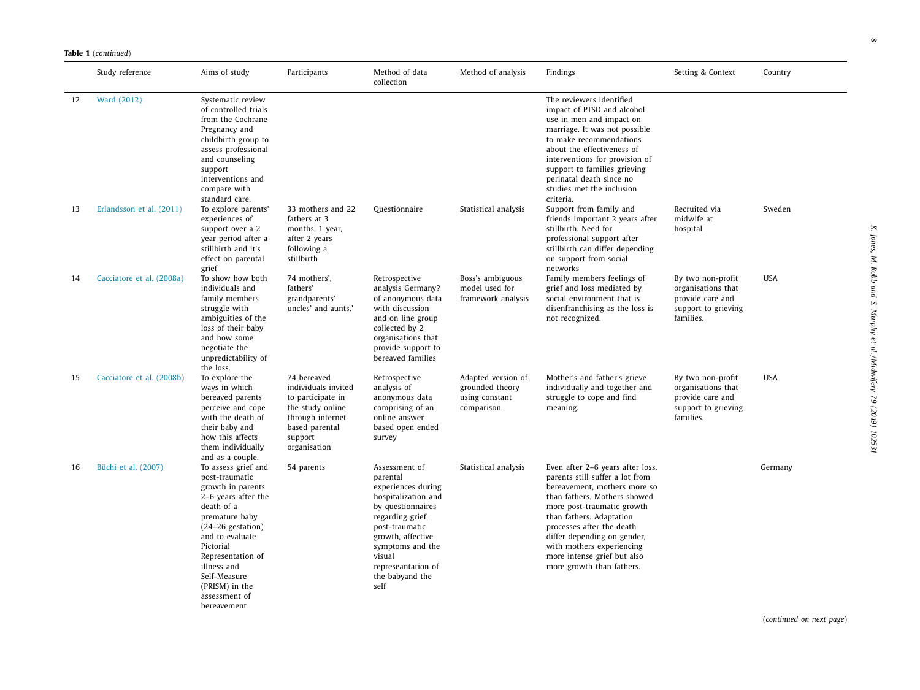|    | Study reference           | Aims of study                                                                                                                                                                                                                                                                   | Participants                                                                                                                                 | Method of data<br>collection                                                                                                                                                                                                          | Method of analysis                                                     | Findings                                                                                                                                                                                                                                                                                                                                           | Setting & Context                                                                               | Country    |
|----|---------------------------|---------------------------------------------------------------------------------------------------------------------------------------------------------------------------------------------------------------------------------------------------------------------------------|----------------------------------------------------------------------------------------------------------------------------------------------|---------------------------------------------------------------------------------------------------------------------------------------------------------------------------------------------------------------------------------------|------------------------------------------------------------------------|----------------------------------------------------------------------------------------------------------------------------------------------------------------------------------------------------------------------------------------------------------------------------------------------------------------------------------------------------|-------------------------------------------------------------------------------------------------|------------|
| 12 | Ward (2012)               | Systematic review<br>of controlled trials<br>from the Cochrane<br>Pregnancy and<br>childbirth group to<br>assess professional<br>and counseling<br>support<br>interventions and<br>compare with<br>standard care.                                                               |                                                                                                                                              |                                                                                                                                                                                                                                       |                                                                        | The reviewers identified<br>impact of PTSD and alcohol<br>use in men and impact on<br>marriage. It was not possible<br>to make recommendations<br>about the effectiveness of<br>interventions for provision of<br>support to families grieving<br>perinatal death since no<br>studies met the inclusion<br>criteria.                               |                                                                                                 |            |
| 13 | Erlandsson et al. (2011)  | To explore parents'<br>experiences of<br>support over a 2<br>year period after a<br>stillbirth and it's<br>effect on parental<br>grief                                                                                                                                          | 33 mothers and 22<br>fathers at 3<br>months, 1 year,<br>after 2 years<br>following a<br>stillbirth                                           | Questionnaire                                                                                                                                                                                                                         | Statistical analysis                                                   | Support from family and<br>friends important 2 years after<br>stillbirth. Need for<br>professional support after<br>stillbirth can differ depending<br>on support from social<br>networks                                                                                                                                                          | Recruited via<br>midwife at<br>hospital                                                         | Sweden     |
| 14 | Cacciatore et al. (2008a) | To show how both<br>individuals and<br>family members<br>struggle with<br>ambiguities of the<br>loss of their baby<br>and how some<br>negotiate the<br>unpredictability of<br>the loss.                                                                                         | 74 mothers',<br>fathers'<br>grandparents'<br>uncles' and aunts.'                                                                             | Retrospective<br>analysis Germany?<br>of anonymous data<br>with discussion<br>and on line group<br>collected by 2<br>organisations that<br>provide support to<br>bereaved families                                                    | Boss's ambiguous<br>model used for<br>framework analysis               | Family members feelings of<br>grief and loss mediated by<br>social environment that is<br>disenfranchising as the loss is<br>not recognized.                                                                                                                                                                                                       | By two non-profit<br>organisations that<br>provide care and<br>support to grieving<br>families. | <b>USA</b> |
| 15 | Cacciatore et al. (2008b) | To explore the<br>ways in which<br>bereaved parents<br>perceive and cope<br>with the death of<br>their baby and<br>how this affects<br>them individually<br>and as a couple.                                                                                                    | 74 bereaved<br>individuals invited<br>to participate in<br>the study online<br>through internet<br>based parental<br>support<br>organisation | Retrospective<br>analysis of<br>anonymous data<br>comprising of an<br>online answer<br>based open ended<br>survey                                                                                                                     | Adapted version of<br>grounded theory<br>using constant<br>comparison. | Mother's and father's grieve<br>individually and together and<br>struggle to cope and find<br>meaning.                                                                                                                                                                                                                                             | By two non-profit<br>organisations that<br>provide care and<br>support to grieving<br>families. | <b>USA</b> |
| 16 | Büchi et al. (2007)       | To assess grief and<br>post-traumatic<br>growth in parents<br>2-6 years after the<br>death of a<br>premature baby<br>$(24-26)$ gestation)<br>and to evaluate<br>Pictorial<br>Representation of<br>illness and<br>Self-Measure<br>(PRISM) in the<br>assessment of<br>bereavement | 54 parents                                                                                                                                   | Assessment of<br>parental<br>experiences during<br>hospitalization and<br>by questionnaires<br>regarding grief,<br>post-traumatic<br>growth, affective<br>symptoms and the<br>visual<br>represeantation of<br>the babyand the<br>self | Statistical analysis                                                   | Even after 2-6 years after loss,<br>parents still suffer a lot from<br>bereavement, mothers more so<br>than fathers. Mothers showed<br>more post-traumatic growth<br>than fathers. Adaptation<br>processes after the death<br>differ depending on gender,<br>with mothers experiencing<br>more intense grief but also<br>more growth than fathers. |                                                                                                 | Germany    |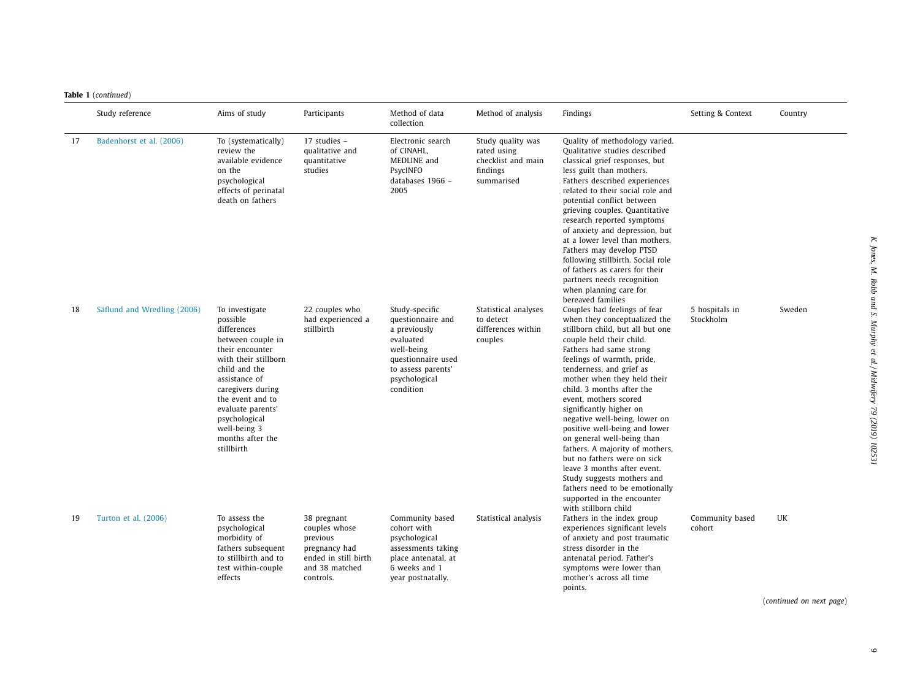|    | Study reference             | Aims of study                                                                                                                                                                                                                                                                | Participants                                                                                                     | Method of data<br>collection                                                                                                                             | Method of analysis                                                               | Findings                                                                                                                                                                                                                                                                                                                                                                                                                                                                                                                                                                                                                                                 | Setting & Context           | Country |
|----|-----------------------------|------------------------------------------------------------------------------------------------------------------------------------------------------------------------------------------------------------------------------------------------------------------------------|------------------------------------------------------------------------------------------------------------------|----------------------------------------------------------------------------------------------------------------------------------------------------------|----------------------------------------------------------------------------------|----------------------------------------------------------------------------------------------------------------------------------------------------------------------------------------------------------------------------------------------------------------------------------------------------------------------------------------------------------------------------------------------------------------------------------------------------------------------------------------------------------------------------------------------------------------------------------------------------------------------------------------------------------|-----------------------------|---------|
| 17 | Badenhorst et al. (2006)    | To (systematically)<br>review the<br>available evidence<br>on the<br>psychological<br>effects of perinatal<br>death on fathers                                                                                                                                               | 17 studies -<br>qualitative and<br>quantitative<br>studies                                                       | Electronic search<br>of CINAHL.<br>MEDLINE and<br>PsycINFO<br>databases 1966 -<br>2005                                                                   | Study quality was<br>rated using<br>checklist and main<br>findings<br>summarised | Quality of methodology varied.<br>Oualitative studies described<br>classical grief responses, but<br>less guilt than mothers.<br>Fathers described experiences<br>related to their social role and<br>potential conflict between<br>grieving couples. Quantitative<br>research reported symptoms<br>of anxiety and depression, but<br>at a lower level than mothers.<br>Fathers may develop PTSD<br>following stillbirth. Social role<br>of fathers as carers for their<br>partners needs recognition<br>when planning care for<br>bereaved families                                                                                                     |                             |         |
| 18 | Säflund and Wredling (2006) | To investigate<br>possible<br>differences<br>between couple in<br>their encounter<br>with their stillborn<br>child and the<br>assistance of<br>caregivers during<br>the event and to<br>evaluate parents'<br>psychological<br>well-being 3<br>months after the<br>stillbirth | 22 couples who<br>had experienced a<br>stillbirth                                                                | Study-specific<br>questionnaire and<br>a previously<br>evaluated<br>well-being<br>questionnaire used<br>to assess parents'<br>psychological<br>condition | Statistical analyses<br>to detect<br>differences within<br>couples               | Couples had feelings of fear<br>when they conceptualized the<br>stillborn child, but all but one<br>couple held their child.<br>Fathers had same strong<br>feelings of warmth, pride,<br>tenderness, and grief as<br>mother when they held their<br>child. 3 months after the<br>event, mothers scored<br>significantly higher on<br>negative well-being, lower on<br>positive well-being and lower<br>on general well-being than<br>fathers. A majority of mothers,<br>but no fathers were on sick<br>leave 3 months after event.<br>Study suggests mothers and<br>fathers need to be emotionally<br>supported in the encounter<br>with stillborn child | 5 hospitals in<br>Stockholm | Sweden  |
| 19 | Turton et al. (2006)        | To assess the<br>psychological<br>morbidity of<br>fathers subsequent<br>to stillbirth and to<br>test within-couple<br>effects                                                                                                                                                | 38 pregnant<br>couples whose<br>previous<br>pregnancy had<br>ended in still birth<br>and 38 matched<br>controls. | Community based<br>cohort with<br>psychological<br>assessments taking<br>place antenatal, at<br>6 weeks and 1<br>year postnatally.                       | Statistical analysis                                                             | Fathers in the index group<br>experiences significant levels<br>of anxiety and post traumatic<br>stress disorder in the<br>antenatal period. Father's<br>symptoms were lower than<br>mother's across all time<br>points.                                                                                                                                                                                                                                                                                                                                                                                                                                 | Community based<br>cohort   | UK      |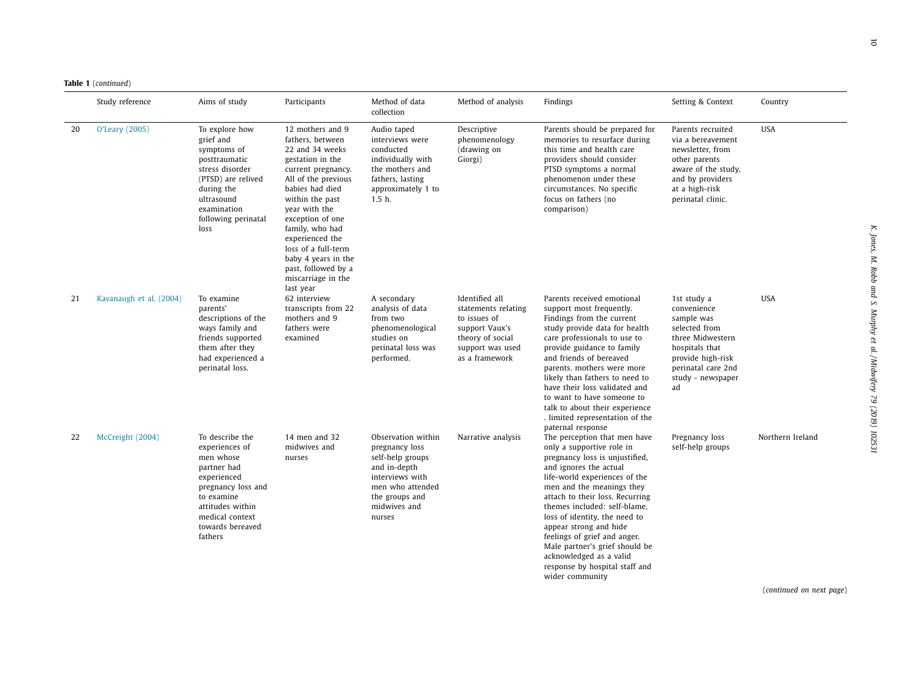|    | Study reference         | Aims of study                                                                                                                                                                          | Participants                                                                                                                                                                                                                                                                                                                                      | Method of data<br>collection                                                                                                                                | Method of analysis                                                                                                                | Findings                                                                                                                                                                                                                                                                                                                                                                                                                                                            | Setting & Context                                                                                                                                                     | Country          |
|----|-------------------------|----------------------------------------------------------------------------------------------------------------------------------------------------------------------------------------|---------------------------------------------------------------------------------------------------------------------------------------------------------------------------------------------------------------------------------------------------------------------------------------------------------------------------------------------------|-------------------------------------------------------------------------------------------------------------------------------------------------------------|-----------------------------------------------------------------------------------------------------------------------------------|---------------------------------------------------------------------------------------------------------------------------------------------------------------------------------------------------------------------------------------------------------------------------------------------------------------------------------------------------------------------------------------------------------------------------------------------------------------------|-----------------------------------------------------------------------------------------------------------------------------------------------------------------------|------------------|
| 20 | O'Leary (2005)          | To explore how<br>grief and<br>symptoms of<br>posttraumatic<br>stress disorder<br>(PTSD) are relived<br>during the<br>ultrasound<br>examination<br>following perinatal<br>loss         | 12 mothers and 9<br>fathers, between<br>22 and 34 weeks<br>gestation in the<br>current pregnancy.<br>All of the previous<br>babies had died<br>within the past<br>year with the<br>exception of one<br>family, who had<br>experienced the<br>loss of a full-term<br>baby 4 years in the<br>past, followed by a<br>miscarriage in the<br>last year | Audio taped<br>interviews were<br>conducted<br>individually with<br>the mothers and<br>fathers, lasting<br>approximately 1 to<br>$1.5h$ .                   | Descriptive<br>phenomenology<br>(drawing on<br>Giorgi)                                                                            | Parents should be prepared for<br>memories to resurface during<br>this time and health care<br>providers should consider<br>PTSD symptoms a normal<br>phenomenon under these<br>circumstances. No specific<br>focus on fathers (no<br>comparison)                                                                                                                                                                                                                   | Parents recruited<br>via a bereavement<br>newsletter, from<br>other parents<br>aware of the study,<br>and by providers<br>at a high-risk<br>perinatal clinic.         | <b>USA</b>       |
| 21 | Kavanaugh et al. (2004) | To examine<br>parents'<br>descriptions of the<br>ways family and<br>friends supported<br>them after they<br>had experienced a<br>perinatal loss.                                       | 62 interview<br>transcripts from 22<br>mothers and 9<br>fathers were<br>examined                                                                                                                                                                                                                                                                  | A secondary<br>analysis of data<br>from two<br>phenomenological<br>studies on<br>perinatal loss was<br>performed.                                           | Identified all<br>statements relating<br>to issues of<br>support Vaux's<br>theory of social<br>support was used<br>as a framework | Parents received emotional<br>support most frequently.<br>Findings from the current<br>study provide data for health<br>care professionals to use to<br>provide guidance to family<br>and friends of bereaved<br>parents, mothers were more<br>likely than fathers to need to<br>have their loss validated and<br>to want to have someone to<br>talk to about their experience<br>. limited representation of the<br>paternal response                              | 1st study a<br>convenience<br>sample was<br>selected from<br>three Midwestern<br>hospitals that<br>provide high-risk<br>perinatal care 2nd<br>study - newspaper<br>ad | <b>USA</b>       |
| 22 | McCreight (2004)        | To describe the<br>experiences of<br>men whose<br>partner had<br>experienced<br>pregnancy loss and<br>to examine<br>attitudes within<br>medical context<br>towards bereaved<br>fathers | 14 men and 32<br>midwives and<br>nurses                                                                                                                                                                                                                                                                                                           | Observation within<br>pregnancy loss<br>self-help groups<br>and in-depth<br>interviews with<br>men who attended<br>the groups and<br>midwives and<br>nurses | Narrative analysis                                                                                                                | The perception that men have<br>only a supportive role in<br>pregnancy loss is unjustified,<br>and ignores the actual<br>life-world experiences of the<br>men and the meanings they<br>attach to their loss. Recurring<br>themes included: self-blame,<br>loss of identity, the need to<br>appear strong and hide<br>feelings of grief and anger.<br>Male partner's grief should be<br>acknowledged as a valid<br>response by hospital staff and<br>wider community | Pregnancy loss<br>self-help groups                                                                                                                                    | Northern Ireland |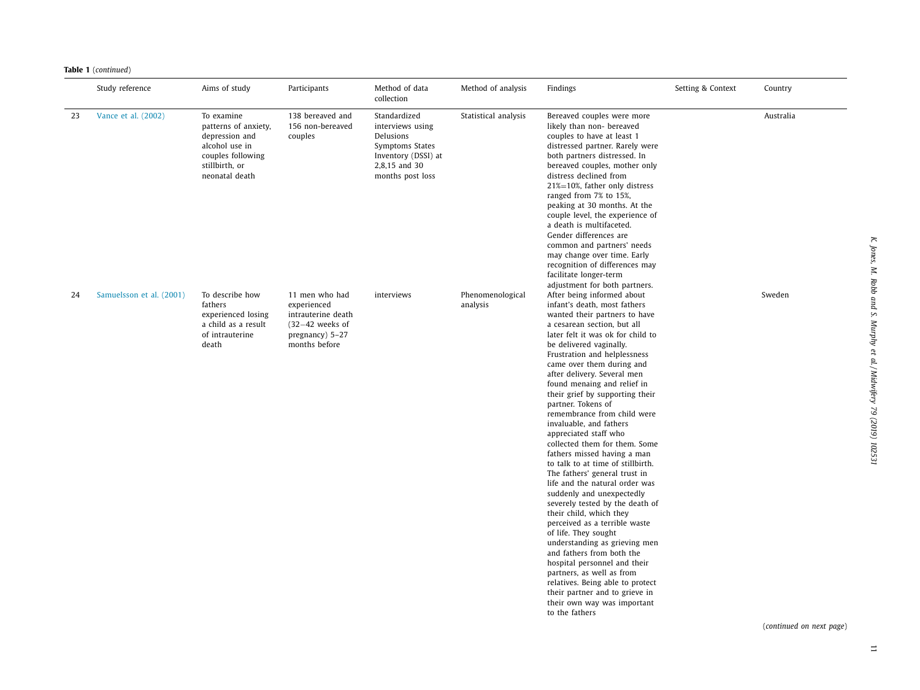|    | Study reference          | Aims of study                                                                                                                   | Participants                                                                                                 | Method of data<br>collection                                                                                                 | Method of analysis           | Findings                                                                                                                                                                                                                                                                                                                                                                                                                                                                                                                                                                                                                                                                                                                                                                                                                                                                                                                                                                                                                                                                         | Setting & Context | Country   |
|----|--------------------------|---------------------------------------------------------------------------------------------------------------------------------|--------------------------------------------------------------------------------------------------------------|------------------------------------------------------------------------------------------------------------------------------|------------------------------|----------------------------------------------------------------------------------------------------------------------------------------------------------------------------------------------------------------------------------------------------------------------------------------------------------------------------------------------------------------------------------------------------------------------------------------------------------------------------------------------------------------------------------------------------------------------------------------------------------------------------------------------------------------------------------------------------------------------------------------------------------------------------------------------------------------------------------------------------------------------------------------------------------------------------------------------------------------------------------------------------------------------------------------------------------------------------------|-------------------|-----------|
| 23 | Vance et al. (2002)      | To examine<br>patterns of anxiety,<br>depression and<br>alcohol use in<br>couples following<br>stillbirth, or<br>neonatal death | 138 bereaved and<br>156 non-bereaved<br>couples                                                              | Standardized<br>interviews using<br>Delusions<br>Symptoms States<br>Inventory (DSSI) at<br>2,8,15 and 30<br>months post loss | Statistical analysis         | Bereaved couples were more<br>likely than non- bereaved<br>couples to have at least 1<br>distressed partner. Rarely were<br>both partners distressed. In<br>bereaved couples, mother only<br>distress declined from<br>21%=10%, father only distress<br>ranged from 7% to 15%,<br>peaking at 30 months. At the<br>couple level, the experience of<br>a death is multifaceted.<br>Gender differences are<br>common and partners' needs<br>may change over time. Early<br>recognition of differences may<br>facilitate longer-term                                                                                                                                                                                                                                                                                                                                                                                                                                                                                                                                                 |                   | Australia |
| 24 | Samuelsson et al. (2001) | To describe how<br>fathers<br>experienced losing<br>a child as a result<br>of intrauterine<br>death                             | 11 men who had<br>experienced<br>intrauterine death<br>$(32-42$ weeks of<br>pregnancy) 5-27<br>months before | interviews                                                                                                                   | Phenomenological<br>analysis | adjustment for both partners.<br>After being informed about<br>infant's death, most fathers<br>wanted their partners to have<br>a cesarean section, but all<br>later felt it was ok for child to<br>be delivered vaginally.<br>Frustration and helplessness<br>came over them during and<br>after delivery. Several men<br>found menaing and relief in<br>their grief by supporting their<br>partner. Tokens of<br>remembrance from child were<br>invaluable, and fathers<br>appreciated staff who<br>collected them for them. Some<br>fathers missed having a man<br>to talk to at time of stillbirth.<br>The fathers' general trust in<br>life and the natural order was<br>suddenly and unexpectedly<br>severely tested by the death of<br>their child, which they<br>perceived as a terrible waste<br>of life. They sought<br>understanding as grieving men<br>and fathers from both the<br>hospital personnel and their<br>partners, as well as from<br>relatives. Being able to protect<br>their partner and to grieve in<br>their own way was important<br>to the fathers |                   | Sweden    |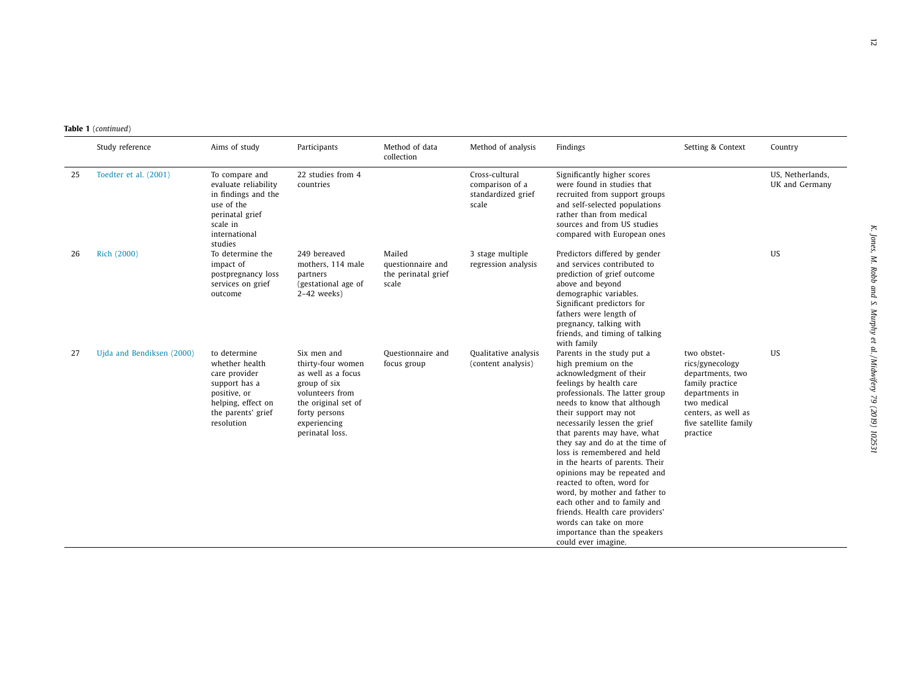**Table 1** (*continued*)

|    | Study reference           | Aims of study                                                                                                                              | Participants                                                                                                                                                         | Method of data<br>collection                                | Method of analysis                                               | Findings                                                                                                                                                                                                                                                                                                                                                                                                                                                                                                                                                                                                                 | Setting & Context                                                                                                                                                  | Country                            |
|----|---------------------------|--------------------------------------------------------------------------------------------------------------------------------------------|----------------------------------------------------------------------------------------------------------------------------------------------------------------------|-------------------------------------------------------------|------------------------------------------------------------------|--------------------------------------------------------------------------------------------------------------------------------------------------------------------------------------------------------------------------------------------------------------------------------------------------------------------------------------------------------------------------------------------------------------------------------------------------------------------------------------------------------------------------------------------------------------------------------------------------------------------------|--------------------------------------------------------------------------------------------------------------------------------------------------------------------|------------------------------------|
| 25 | Toedter et al. (2001)     | To compare and<br>evaluate reliability<br>in findings and the<br>use of the<br>perinatal grief<br>scale in<br>international<br>studies     | 22 studies from 4<br>countries                                                                                                                                       |                                                             | Cross-cultural<br>comparison of a<br>standardized grief<br>scale | Significantly higher scores<br>were found in studies that<br>recruited from support groups<br>and self-selected populations<br>rather than from medical<br>sources and from US studies<br>compared with European ones                                                                                                                                                                                                                                                                                                                                                                                                    |                                                                                                                                                                    | US, Netherlands,<br>UK and Germany |
| 26 | Rich (2000)               | To determine the<br>impact of<br>postpregnancy loss<br>services on grief<br>outcome                                                        | 249 bereaved<br>mothers, 114 male<br>partners<br>(gestational age of<br>$2-42$ weeks)                                                                                | Mailed<br>questionnaire and<br>the perinatal grief<br>scale | 3 stage multiple<br>regression analysis                          | Predictors differed by gender<br>and services contributed to<br>prediction of grief outcome<br>above and beyond<br>demographic variables.<br>Significant predictors for<br>fathers were length of<br>pregnancy, talking with<br>friends, and timing of talking<br>with family                                                                                                                                                                                                                                                                                                                                            |                                                                                                                                                                    | <b>US</b>                          |
| 27 | Ujda and Bendiksen (2000) | to determine<br>whether health<br>care provider<br>support has a<br>positive, or<br>helping, effect on<br>the parents' grief<br>resolution | Six men and<br>thirty-four women<br>as well as a focus<br>group of six<br>volunteers from<br>the original set of<br>forty persons<br>experiencing<br>perinatal loss. | Questionnaire and<br>focus group                            | Qualitative analysis<br>(content analysis)                       | Parents in the study put a<br>high premium on the<br>acknowledgment of their<br>feelings by health care<br>professionals. The latter group<br>needs to know that although<br>their support may not<br>necessarily lessen the grief<br>that parents may have, what<br>they say and do at the time of<br>loss is remembered and held<br>in the hearts of parents. Their<br>opinions may be repeated and<br>reacted to often, word for<br>word, by mother and father to<br>each other and to family and<br>friends. Health care providers'<br>words can take on more<br>importance than the speakers<br>could ever imagine. | two obstet-<br>rics/gynecology<br>departments, two<br>family practice<br>departments in<br>two medical<br>centers, as well as<br>five satellite family<br>practice | US                                 |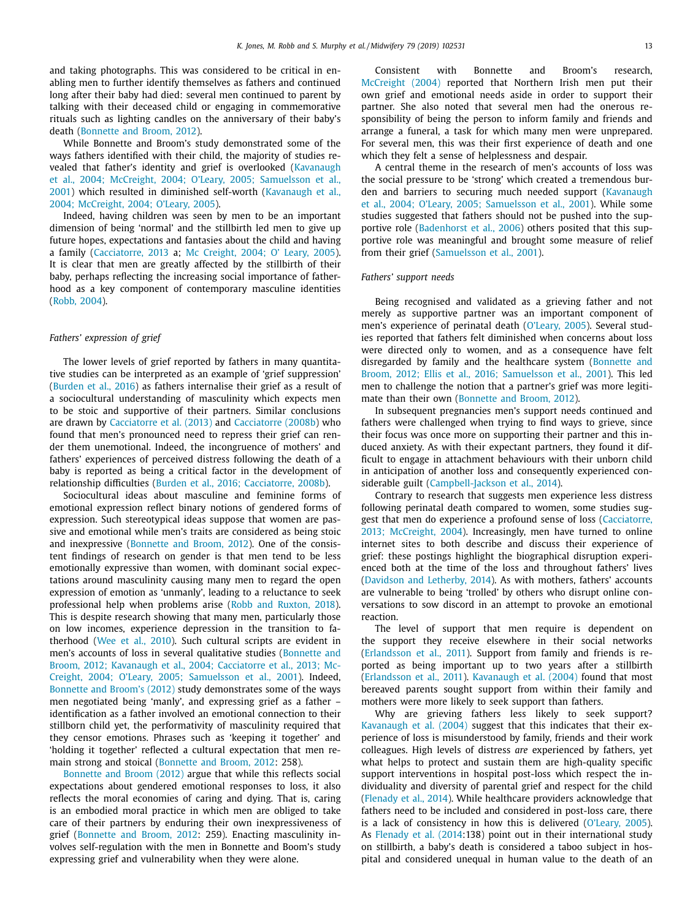and taking photographs. This was considered to be critical in enabling men to further identify themselves as fathers and continued long after their baby had died: several men continued to parent by talking with their deceased child or engaging in commemorative rituals such as lighting candles on the anniversary of their baby's death [\(Bonnette](#page-14-0) and Broom, 2012).

While Bonnette and Broom's study demonstrated some of the ways fathers identified with their child, the majority of studies revealed that father's identity and grief is overlooked (Kavanaugh et al., 2004; McCreight, 2004; O'Leary, 2005; [Samuelsson](#page-14-0) et al., 2001) which resulted in diminished self-worth [\(Kavanaugh](#page-14-0) et al., 2004; McCreight, 2004; O'Leary, 2005).

Indeed, having children was seen by men to be an important dimension of being 'normal' and the stillbirth led men to give up future hopes, expectations and fantasies about the child and having a family [\(Cacciatorre,](#page-14-0) 2013 a; Mc [Creight,](#page-14-0) 2004; O' Leary, 2005). It is clear that men are greatly affected by the stillbirth of their baby, perhaps reflecting the increasing social importance of fatherhood as a key component of contemporary masculine identities [\(Robb,](#page-14-0) 2004).

## *Fathers' expression of grief*

The lower levels of grief reported by fathers in many quantitative studies can be interpreted as an example of 'grief suppression' [\(Burden](#page-14-0) et al., 2016) as fathers internalise their grief as a result of a sociocultural understanding of masculinity which expects men to be stoic and supportive of their partners. Similar conclusions are drawn by [Cacciatorre](#page-14-0) et al. (2013) and [Cacciatorre](#page-14-0) (2008b) who found that men's pronounced need to repress their grief can render them unemotional. Indeed, the incongruence of mothers' and fathers' experiences of perceived distress following the death of a baby is reported as being a critical factor in the development of relationship difficulties (Burden et al., 2016; [Cacciatorre,](#page-14-0) 2008b).

Sociocultural ideas about masculine and feminine forms of emotional expression reflect binary notions of gendered forms of expression. Such stereotypical ideas suppose that women are passive and emotional while men's traits are considered as being stoic and inexpressive [\(Bonnette](#page-14-0) and Broom, 2012). One of the consistent findings of research on gender is that men tend to be less emotionally expressive than women, with dominant social expectations around masculinity causing many men to regard the open expression of emotion as 'unmanly', leading to a reluctance to seek professional help when problems arise (Robb and [Ruxton,](#page-14-0) 2018). This is despite research showing that many men, particularly those on low incomes, experience depression in the transition to fatherhood (Wee et al., [2010\)](#page-14-0). Such cultural scripts are evident in men's accounts of loss in several qualitative studies (Bonnette and Broom, 2012; Kavanaugh et al., 2004; Cacciatorre et al., 2013; Mc-Creight, 2004; O'Leary, 2005; [Samuelsson](#page-14-0) et al., 2001). Indeed, [Bonnette](#page-14-0) and Broom's (2012) study demonstrates some of the ways men negotiated being 'manly', and expressing grief as a father – identification as a father involved an emotional connection to their stillborn child yet, the performativity of masculinity required that they censor emotions. Phrases such as 'keeping it together' and 'holding it together' reflected a cultural expectation that men remain strong and stoical [\(Bonnette](#page-14-0) and Broom, 2012: 258).

[Bonnette](#page-14-0) and Broom (2012) argue that while this reflects social expectations about gendered emotional responses to loss, it also reflects the moral economies of caring and dying. That is, caring is an embodied moral practice in which men are obliged to take care of their partners by enduring their own inexpressiveness of grief [\(Bonnette](#page-14-0) and Broom, 2012: 259). Enacting masculinity involves self-regulation with the men in Bonnette and Boom's study expressing grief and vulnerability when they were alone.

Consistent with Bonnette and Broom's research, [McCreight](#page-14-0) (2004) reported that Northern Irish men put their own grief and emotional needs aside in order to support their partner. She also noted that several men had the onerous responsibility of being the person to inform family and friends and arrange a funeral, a task for which many men were unprepared. For several men, this was their first experience of death and one which they felt a sense of helplessness and despair.

A central theme in the research of men's accounts of loss was the social pressure to be 'strong' which created a tremendous burden and barriers to securing much needed support (Kavanaugh et al., 2004; O'Leary, 2005; [Samuelsson](#page-14-0) et al., 2001). While some studies suggested that fathers should not be pushed into the sup-portive role [\(Badenhorst](#page-14-0) et al., 2006) others posited that this supportive role was meaningful and brought some measure of relief from their grief [\(Samuelsson](#page-14-0) et al., 2001).

#### *Fathers' support needs*

Being recognised and validated as a grieving father and not merely as supportive partner was an important component of men's experience of perinatal death [\(O'Leary,](#page-14-0) 2005). Several studies reported that fathers felt diminished when concerns about loss were directed only to women, and as a consequence have felt disregarded by family and the healthcare system (Bonnette and Broom, 2012; Ellis et al., 2016; [Samuelsson](#page-14-0) et al., 2001). This led men to challenge the notion that a partner's grief was more legitimate than their own [\(Bonnette](#page-14-0) and Broom, 2012).

In subsequent pregnancies men's support needs continued and fathers were challenged when trying to find ways to grieve, since their focus was once more on supporting their partner and this induced anxiety. As with their expectant partners, they found it difficult to engage in attachment behaviours with their unborn child in anticipation of another loss and consequently experienced considerable guilt [\(Campbell-Jackson](#page-14-0) et al., 2014).

Contrary to research that suggests men experience less distress following perinatal death compared to women, some studies suggest that men do experience a profound sense of loss [\(Cacciatorre,](#page-14-0) 2013; McCreight, 2004). Increasingly, men have turned to online internet sites to both describe and discuss their experience of grief: these postings highlight the biographical disruption experienced both at the time of the loss and throughout fathers' lives [\(Davidson](#page-14-0) and Letherby, 2014). As with mothers, fathers' accounts are vulnerable to being 'trolled' by others who disrupt online conversations to sow discord in an attempt to provoke an emotional reaction.

The level of support that men require is dependent on the support they receive elsewhere in their social networks [\(Erlandsson](#page-14-0) et al., 2011). Support from family and friends is reported as being important up to two years after a stillbirth [\(Erlandsson](#page-14-0) et al., 2011). [Kavanaugh](#page-14-0) et al. (2004) found that most bereaved parents sought support from within their family and mothers were more likely to seek support than fathers.

Why are grieving fathers less likely to seek support? [Kavanaugh](#page-14-0) et al. (2004) suggest that this indicates that their experience of loss is misunderstood by family, friends and their work colleagues. High levels of distress *are* experienced by fathers, yet what helps to protect and sustain them are high-quality specific support interventions in hospital post-loss which respect the individuality and diversity of parental grief and respect for the child [\(Flenady](#page-14-0) et al., 2014). While healthcare providers acknowledge that fathers need to be included and considered in post-loss care, there is a lack of consistency in how this is delivered [\(O'Leary,](#page-14-0) 2005). As [Flenady](#page-14-0) et al. (2014:138) point out in their international study on stillbirth, a baby's death is considered a taboo subject in hospital and considered unequal in human value to the death of an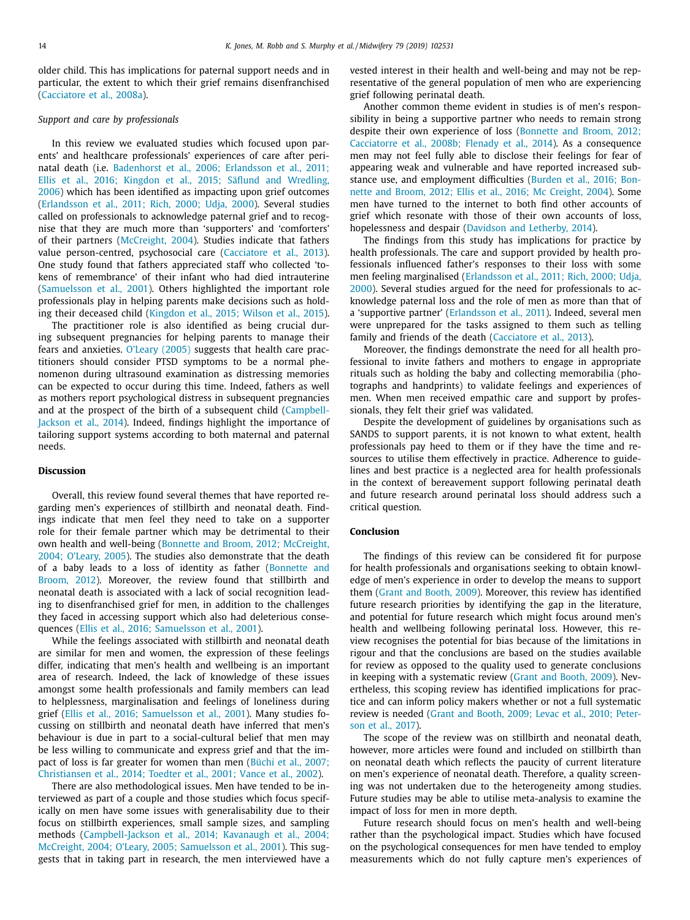older child. This has implications for paternal support needs and in particular, the extent to which their grief remains disenfranchised [\(Cacciatore](#page-14-0) et al., 2008a).

#### *Support and care by professionals*

In this review we evaluated studies which focused upon parents' and healthcare professionals' experiences of care after perinatal death (i.e. [Badenhorst](#page-14-0) et al., 2006; Erlandsson et al., 2011; Ellis et al., 2016; Kingdon et al., 2015; Säflund and Wredling, 2006) which has been identified as impacting upon grief outcomes [\(Erlandsson](#page-14-0) et al., 2011; Rich, 2000; Udja, 2000). Several studies called on professionals to acknowledge paternal grief and to recognise that they are much more than 'supporters' and 'comforters' of their partners [\(McCreight,](#page-14-0) 2004). Studies indicate that fathers value person-centred, psychosocial care [\(Cacciatore](#page-14-0) et al., 2013). One study found that fathers appreciated staff who collected 'tokens of remembrance' of their infant who had died intrauterine [\(Samuelsson](#page-14-0) et al., 2001). Others highlighted the important role professionals play in helping parents make decisions such as holding their deceased child [\(Kingdon](#page-14-0) et al., 2015; Wilson et al., 2015).

The practitioner role is also identified as being crucial during subsequent pregnancies for helping parents to manage their fears and anxieties. [O'Leary](#page-14-0) (2005) suggests that health care practitioners should consider PTSD symptoms to be a normal phenomenon during ultrasound examination as distressing memories can be expected to occur during this time. Indeed, fathers as well as mothers report psychological distress in subsequent pregnancies and at the prospect of the birth of a subsequent child (Campbell-Jackson et al., 2014). Indeed, findings highlight the [importance](#page-14-0) of tailoring support systems according to both maternal and paternal needs.

#### **Discussion**

Overall, this review found several themes that have reported regarding men's experiences of stillbirth and neonatal death. Findings indicate that men feel they need to take on a supporter role for their female partner which may be detrimental to their own health and well-being (Bonnette and Broom, 2012; McCreight, 2004; O'Leary, 2005). The studies also [demonstrate](#page-14-0) that the death of a baby leads to a loss of identity as father (Bonnette and Broom, 2012). [Moreover,](#page-14-0) the review found that stillbirth and neonatal death is associated with a lack of social recognition leading to disenfranchised grief for men, in addition to the challenges they faced in accessing support which also had deleterious consequences (Ellis et al., 2016; [Samuelsson](#page-14-0) et al., 2001).

While the feelings associated with stillbirth and neonatal death are similar for men and women, the expression of these feelings differ, indicating that men's health and wellbeing is an important area of research. Indeed, the lack of knowledge of these issues amongst some health professionals and family members can lead to helplessness, marginalisation and feelings of loneliness during grief (Ellis et al., 2016; [Samuelsson](#page-14-0) et al., 2001). Many studies focussing on stillbirth and neonatal death have inferred that men's behaviour is due in part to a social-cultural belief that men may be less willing to communicate and express grief and that the impact of loss is far greater for women than men (Büchi et al., 2007; [Christiansen](#page-14-0) et al., 2014; Toedter et al., 2001; Vance et al., 2002).

There are also methodological issues. Men have tended to be interviewed as part of a couple and those studies which focus specifically on men have some issues with generalisability due to their focus on stillbirth experiences, small sample sizes, and sampling methods [\(Campbell-Jackson](#page-14-0) et al., 2014; Kavanaugh et al., 2004; McCreight, 2004; O'Leary, 2005; Samuelsson et al., 2001). This suggests that in taking part in research, the men interviewed have a vested interest in their health and well-being and may not be representative of the general population of men who are experiencing grief following perinatal death.

Another common theme evident in studies is of men's responsibility in being a supportive partner who needs to remain strong despite their own experience of loss (Bonnette and Broom, 2012; Cacciatorre et al., 2008b; Flenady et al., 2014). As a [consequence](#page-14-0) men may not feel fully able to disclose their feelings for fear of appearing weak and vulnerable and have reported increased substance use, and [employment](#page-14-0) difficulties (Burden et al., 2016; Bonnette and Broom, 2012; Ellis et al., 2016; Mc Creight, 2004). Some men have turned to the internet to both find other accounts of grief which resonate with those of their own accounts of loss, hopelessness and despair [\(Davidson](#page-14-0) and Letherby, 2014).

The findings from this study has implications for practice by health professionals. The care and support provided by health professionals influenced father's responses to their loss with some men feeling marginalised (Erlandsson et al., 2011; Rich, 2000; Udja, 2000). Several studies argued for the need for [professionals](#page-14-0) to acknowledge paternal loss and the role of men as more than that of a 'supportive partner' [\(Erlandsson](#page-14-0) et al., 2011). Indeed, several men were unprepared for the tasks assigned to them such as telling family and friends of the death [\(Cacciatore](#page-14-0) et al., 2013).

Moreover, the findings demonstrate the need for all health professional to invite fathers and mothers to engage in appropriate rituals such as holding the baby and collecting memorabilia (photographs and handprints) to validate feelings and experiences of men. When men received empathic care and support by professionals, they felt their grief was validated.

Despite the development of guidelines by organisations such as SANDS to support parents, it is not known to what extent, health professionals pay heed to them or if they have the time and resources to utilise them effectively in practice. Adherence to guidelines and best practice is a neglected area for health professionals in the context of bereavement support following perinatal death and future research around perinatal loss should address such a critical question.

#### **Conclusion**

The findings of this review can be considered fit for purpose for health professionals and organisations seeking to obtain knowledge of men's experience in order to develop the means to support them (Grant and [Booth,](#page-14-0) 2009). Moreover, this review has identified future research priorities by identifying the gap in the literature, and potential for future research which might focus around men's health and wellbeing following perinatal loss. However, this review recognises the potential for bias because of the limitations in rigour and that the conclusions are based on the studies available for review as opposed to the quality used to generate conclusions in keeping with a systematic review (Grant and [Booth,](#page-14-0) 2009). Nevertheless, this scoping review has identified implications for practice and can inform policy makers whether or not a full systematic review is [needed](#page-14-0) (Grant and Booth, 2009; Levac et al., 2010; Peterson et al., 2017).

The scope of the review was on stillbirth and neonatal death, however, more articles were found and included on stillbirth than on neonatal death which reflects the paucity of current literature on men's experience of neonatal death. Therefore, a quality screening was not undertaken due to the heterogeneity among studies. Future studies may be able to utilise meta-analysis to examine the impact of loss for men in more depth.

Future research should focus on men's health and well-being rather than the psychological impact. Studies which have focused on the psychological consequences for men have tended to employ measurements which do not fully capture men's experiences of